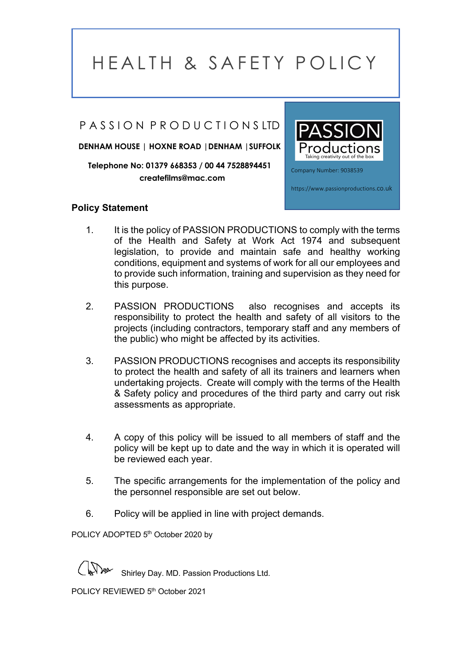#### PASSION PRODUCTIONSLTD

**DENHAM HOUSE | HOXNE ROAD |DENHAM |SUFFOLK**

**Telephone No: 01379 668353 / 00 44 7528894451 createfilms@mac.com**

#### **Policy Statement**



1. It is the policy of PASSION PRODUCTIONS to comply with the terms of the Health and Safety at Work Act 1974 and subsequent legislation, to provide and maintain safe and healthy working conditions, equipment and systems of work for all our employees and to provide such information, training and supervision as they need for this purpose.

l

- 2. PASSION PRODUCTIONS also recognises and accepts its responsibility to protect the health and safety of all visitors to the projects (including contractors, temporary staff and any members of the public) who might be affected by its activities.
- 3. PASSION PRODUCTIONS recognises and accepts its responsibility to protect the health and safety of all its trainers and learners when undertaking projects. Create will comply with the terms of the Health & Safety policy and procedures of the third party and carry out risk assessments as appropriate.
- 4. A copy of this policy will be issued to all members of staff and the policy will be kept up to date and the way in which it is operated will be reviewed each year.
- 5. The specific arrangements for the implementation of the policy and the personnel responsible are set out below.
- 6. Policy will be applied in line with project demands.

POLICY ADOPTED 5<sup>th</sup> October 2020 by

Shirley Day. MD. Passion Productions Ltd.

POLICY REVIEWED 5<sup>th</sup> October 2021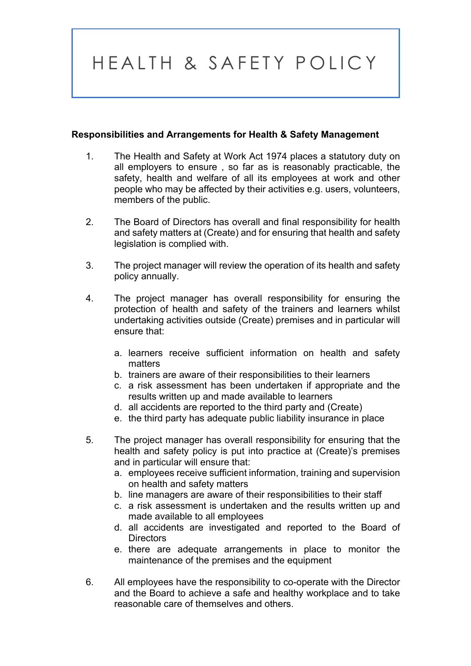#### **Responsibilities and Arrangements for Health & Safety Management**

- 1. The Health and Safety at Work Act 1974 places a statutory duty on all employers to ensure , so far as is reasonably practicable, the safety, health and welfare of all its employees at work and other people who may be affected by their activities e.g. users, volunteers, members of the public.
- 2. The Board of Directors has overall and final responsibility for health and safety matters at (Create) and for ensuring that health and safety legislation is complied with.
- 3. The project manager will review the operation of its health and safety policy annually.
- 4. The project manager has overall responsibility for ensuring the protection of health and safety of the trainers and learners whilst undertaking activities outside (Create) premises and in particular will ensure that:
	- a. learners receive sufficient information on health and safety matters
	- b. trainers are aware of their responsibilities to their learners
	- c. a risk assessment has been undertaken if appropriate and the results written up and made available to learners
	- d. all accidents are reported to the third party and (Create)
	- e. the third party has adequate public liability insurance in place
- 5. The project manager has overall responsibility for ensuring that the health and safety policy is put into practice at (Create)'s premises and in particular will ensure that:
	- a. employees receive sufficient information, training and supervision on health and safety matters
	- b. line managers are aware of their responsibilities to their staff
	- c. a risk assessment is undertaken and the results written up and made available to all employees
	- d. all accidents are investigated and reported to the Board of **Directors**
	- e. there are adequate arrangements in place to monitor the maintenance of the premises and the equipment
- 6. All employees have the responsibility to co-operate with the Director and the Board to achieve a safe and healthy workplace and to take reasonable care of themselves and others.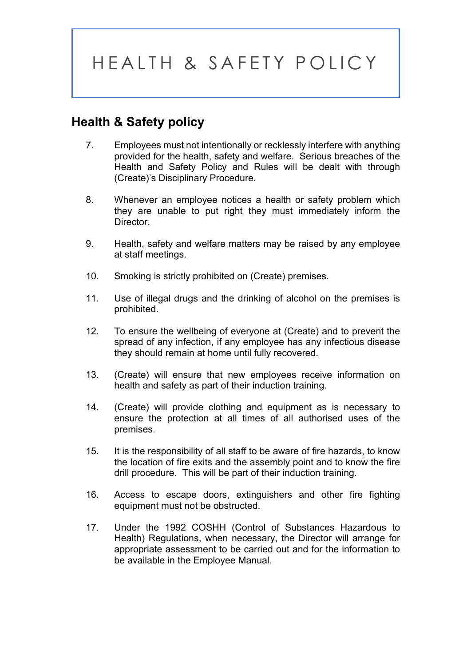### **Health & Safety policy**

- 7. Employees must not intentionally or recklessly interfere with anything provided for the health, safety and welfare. Serious breaches of the Health and Safety Policy and Rules will be dealt with through (Create)'s Disciplinary Procedure.
- 8. Whenever an employee notices a health or safety problem which they are unable to put right they must immediately inform the Director.
- 9. Health, safety and welfare matters may be raised by any employee at staff meetings.
- 10. Smoking is strictly prohibited on (Create) premises.
- 11. Use of illegal drugs and the drinking of alcohol on the premises is prohibited.
- 12. To ensure the wellbeing of everyone at (Create) and to prevent the spread of any infection, if any employee has any infectious disease they should remain at home until fully recovered.
- 13. (Create) will ensure that new employees receive information on health and safety as part of their induction training.
- 14. (Create) will provide clothing and equipment as is necessary to ensure the protection at all times of all authorised uses of the premises.
- 15. It is the responsibility of all staff to be aware of fire hazards, to know the location of fire exits and the assembly point and to know the fire drill procedure. This will be part of their induction training.
- 16. Access to escape doors, extinguishers and other fire fighting equipment must not be obstructed.
- 17. Under the 1992 COSHH (Control of Substances Hazardous to Health) Regulations, when necessary, the Director will arrange for appropriate assessment to be carried out and for the information to be available in the Employee Manual.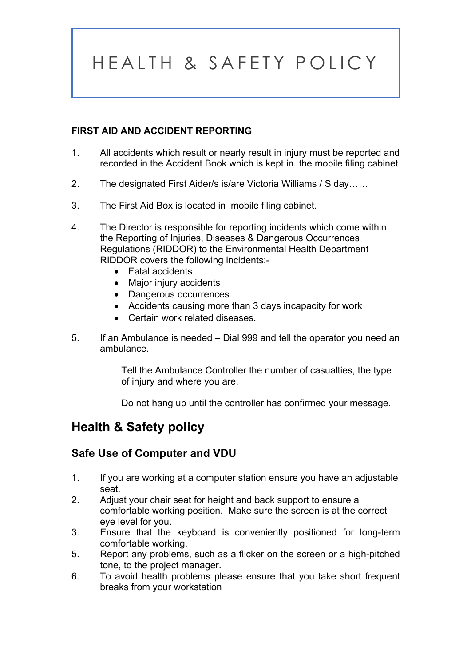#### **FIRST AID AND ACCIDENT REPORTING**

- 1. All accidents which result or nearly result in injury must be reported and recorded in the Accident Book which is kept in the mobile filing cabinet
- 2. The designated First Aider/s is/are Victoria Williams / S day……
- 3. The First Aid Box is located in mobile filing cabinet.
- 4. The Director is responsible for reporting incidents which come within the Reporting of Injuries, Diseases & Dangerous Occurrences Regulations (RIDDOR) to the Environmental Health Department RIDDOR covers the following incidents:-
	- Fatal accidents
	- Major injury accidents
	- Dangerous occurrences
	- Accidents causing more than 3 days incapacity for work
	- Certain work related diseases.
- 5. If an Ambulance is needed Dial 999 and tell the operator you need an ambulance.

Tell the Ambulance Controller the number of casualties, the type of injury and where you are.

Do not hang up until the controller has confirmed your message.

### **Health & Safety policy**

#### **Safe Use of Computer and VDU**

- 1. If you are working at a computer station ensure you have an adjustable seat.
- 2. Adjust your chair seat for height and back support to ensure a comfortable working position. Make sure the screen is at the correct eye level for you.
- 3. Ensure that the keyboard is conveniently positioned for long-term comfortable working.
- 5. Report any problems, such as a flicker on the screen or a high-pitched tone, to the project manager.
- 6. To avoid health problems please ensure that you take short frequent breaks from your workstation